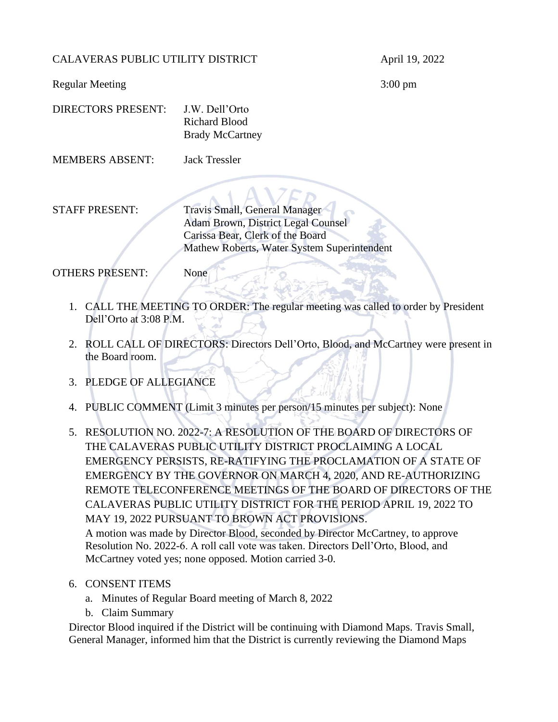#### CALAVERAS PUBLIC UTILITY DISTRICT April 19, 2022

Regular Meeting 3:00 pm

| DIRECTORS PRESENT: | J.W. Dell'Orto         |
|--------------------|------------------------|
|                    | Richard Blood          |
|                    | <b>Brady McCartney</b> |

MEMBERS ABSENT: Jack Tressler

STAFF PRESENT: Travis Small, General Manager Adam Brown, District Legal Counsel Carissa Bear, Clerk of the Board Mathew Roberts, Water System Superintendent

OTHERS PRESENT: None

- 1. CALL THE MEETING TO ORDER: The regular meeting was called to order by President Dell'Orto at 3:08 P.M.
- 2. ROLL CALL OF DIRECTORS: Directors Dell'Orto, Blood, and McCartney were present in the Board room.
- 3. PLEDGE OF ALLEGIANCE
- 4. PUBLIC COMMENT (Limit 3 minutes per person/15 minutes per subject): None
- 5. RESOLUTION NO. 2022-7: A RESOLUTION OF THE BOARD OF DIRECTORS OF THE CALAVERAS PUBLIC UTILITY DISTRICT PROCLAIMING A LOCAL EMERGENCY PERSISTS, RE-RATIFYING THE PROCLAMATION OF A STATE OF EMERGENCY BY THE GOVERNOR ON MARCH 4, 2020, AND RE-AUTHORIZING REMOTE TELECONFERENCE MEETINGS OF THE BOARD OF DIRECTORS OF THE CALAVERAS PUBLIC UTILITY DISTRICT FOR THE PERIOD APRIL 19, 2022 TO MAY 19, 2022 PURSUANT TO BROWN ACT PROVISIONS. A motion was made by Director Blood, seconded by Director McCartney, to approve Resolution No. 2022-6. A roll call vote was taken. Directors Dell'Orto, Blood, and

McCartney voted yes; none opposed. Motion carried 3-0.

- 6. CONSENT ITEMS
	- a. Minutes of Regular Board meeting of March 8, 2022
	- b. Claim Summary

Director Blood inquired if the District will be continuing with Diamond Maps. Travis Small, General Manager, informed him that the District is currently reviewing the Diamond Maps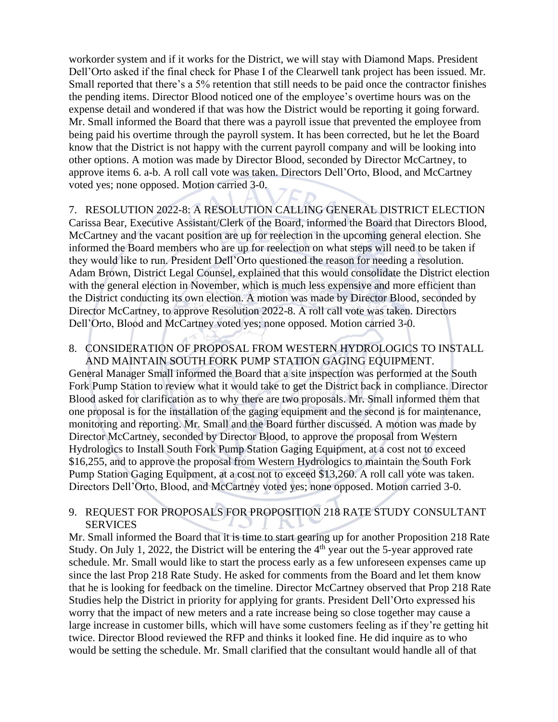workorder system and if it works for the District, we will stay with Diamond Maps. President Dell'Orto asked if the final check for Phase I of the Clearwell tank project has been issued. Mr. Small reported that there's a 5% retention that still needs to be paid once the contractor finishes the pending items. Director Blood noticed one of the employee's overtime hours was on the expense detail and wondered if that was how the District would be reporting it going forward. Mr. Small informed the Board that there was a payroll issue that prevented the employee from being paid his overtime through the payroll system. It has been corrected, but he let the Board know that the District is not happy with the current payroll company and will be looking into other options. A motion was made by Director Blood, seconded by Director McCartney, to approve items 6. a-b. A roll call vote was taken. Directors Dell'Orto, Blood, and McCartney voted yes; none opposed. Motion carried 3-0.

7. RESOLUTION 2022-8: A RESOLUTION CALLING GENERAL DISTRICT ELECTION Carissa Bear, Executive Assistant/Clerk of the Board, informed the Board that Directors Blood, McCartney and the vacant position are up for reelection in the upcoming general election. She informed the Board members who are up for reelection on what steps will need to be taken if they would like to run. President Dell'Orto questioned the reason for needing a resolution. Adam Brown, District Legal Counsel, explained that this would consolidate the District election with the general election in November, which is much less expensive and more efficient than the District conducting its own election. A motion was made by Director Blood, seconded by Director McCartney, to approve Resolution 2022-8. A roll call vote was taken. Directors Dell'Orto, Blood and McCartney voted yes; none opposed. Motion carried 3-0.

#### 8. CONSIDERATION OF PROPOSAL FROM WESTERN HYDROLOGICS TO INSTALL AND MAINTAIN SOUTH FORK PUMP STATION GAGING EQUIPMENT.

General Manager Small informed the Board that a site inspection was performed at the South Fork Pump Station to review what it would take to get the District back in compliance. Director Blood asked for clarification as to why there are two proposals. Mr. Small informed them that one proposal is for the installation of the gaging equipment and the second is for maintenance, monitoring and reporting. Mr. Small and the Board further discussed. A motion was made by Director McCartney, seconded by Director Blood, to approve the proposal from Western Hydrologics to Install South Fork Pump Station Gaging Equipment, at a cost not to exceed \$16,255, and to approve the proposal from Western Hydrologics to maintain the South Fork Pump Station Gaging Equipment, at a cost not to exceed \$13,260. A roll call vote was taken. Directors Dell'Orto, Blood, and McCartney voted yes; none opposed. Motion carried 3-0.

## 9. REQUEST FOR PROPOSALS FOR PROPOSITION 218 RATE STUDY CONSULTANT **SERVICES**

Mr. Small informed the Board that it is time to start gearing up for another Proposition 218 Rate Study. On July 1, 2022, the District will be entering the  $4<sup>th</sup>$  year out the 5-year approved rate schedule. Mr. Small would like to start the process early as a few unforeseen expenses came up since the last Prop 218 Rate Study. He asked for comments from the Board and let them know that he is looking for feedback on the timeline. Director McCartney observed that Prop 218 Rate Studies help the District in priority for applying for grants. President Dell'Orto expressed his worry that the impact of new meters and a rate increase being so close together may cause a large increase in customer bills, which will have some customers feeling as if they're getting hit twice. Director Blood reviewed the RFP and thinks it looked fine. He did inquire as to who would be setting the schedule. Mr. Small clarified that the consultant would handle all of that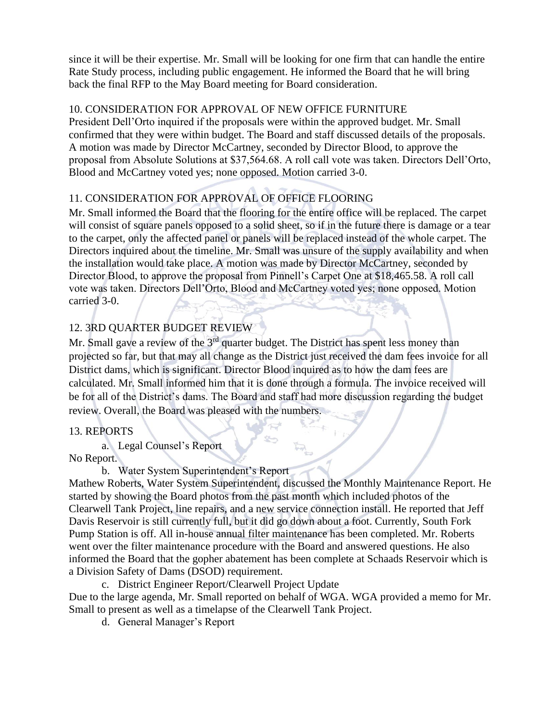since it will be their expertise. Mr. Small will be looking for one firm that can handle the entire Rate Study process, including public engagement. He informed the Board that he will bring back the final RFP to the May Board meeting for Board consideration.

### 10. CONSIDERATION FOR APPROVAL OF NEW OFFICE FURNITURE

President Dell'Orto inquired if the proposals were within the approved budget. Mr. Small confirmed that they were within budget. The Board and staff discussed details of the proposals. A motion was made by Director McCartney, seconded by Director Blood, to approve the proposal from Absolute Solutions at \$37,564.68. A roll call vote was taken. Directors Dell'Orto, Blood and McCartney voted yes; none opposed. Motion carried 3-0.

## 11. CONSIDERATION FOR APPROVAL OF OFFICE FLOORING

Mr. Small informed the Board that the flooring for the entire office will be replaced. The carpet will consist of square panels opposed to a solid sheet, so if in the future there is damage or a tear to the carpet, only the affected panel or panels will be replaced instead of the whole carpet. The Directors inquired about the timeline. Mr. Small was unsure of the supply availability and when the installation would take place. A motion was made by Director McCartney, seconded by Director Blood, to approve the proposal from Pinnell's Carpet One at \$18,465.58. A roll call vote was taken. Directors Dell'Orto, Blood and McCartney voted yes; none opposed. Motion carried 3-0.

# 12. 3RD QUARTER BUDGET REVIEW

Mr. Small gave a review of the  $3<sup>rd</sup>$  quarter budget. The District has spent less money than projected so far, but that may all change as the District just received the dam fees invoice for all District dams, which is significant. Director Blood inquired as to how the dam fees are calculated. Mr. Small informed him that it is done through a formula. The invoice received will be for all of the District's dams. The Board and staff had more discussion regarding the budget review. Overall, the Board was pleased with the numbers.

S

### 13. REPORTS

a. Legal Counsel's Report

No Report.

b. Water System Superintendent's Report

Mathew Roberts, Water System Superintendent, discussed the Monthly Maintenance Report. He started by showing the Board photos from the past month which included photos of the Clearwell Tank Project, line repairs, and a new service connection install. He reported that Jeff Davis Reservoir is still currently full, but it did go down about a foot. Currently, South Fork Pump Station is off. All in-house annual filter maintenance has been completed. Mr. Roberts went over the filter maintenance procedure with the Board and answered questions. He also informed the Board that the gopher abatement has been complete at Schaads Reservoir which is a Division Safety of Dams (DSOD) requirement.

c. District Engineer Report/Clearwell Project Update

Due to the large agenda, Mr. Small reported on behalf of WGA. WGA provided a memo for Mr. Small to present as well as a timelapse of the Clearwell Tank Project.

d. General Manager's Report